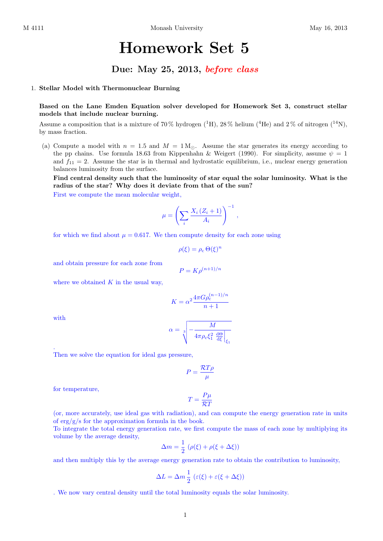## Homework Set 5

## Due: May 25, 2013, before class

## 1. Stellar Model with Thermonuclear Burning

Based on the Lane Emden Equation solver developed for Homework Set 3, construct stellar models that include nuclear burning.

Assume a composition that is a mixture of 70% hydrogen  $(^{1}H)$ , 28% helium  $(^{4}He)$  and 2% of nitrogen  $(^{14}N)$ , by mass fraction.

(a) Compute a model with  $n = 1.5$  and  $M = 1 M_{\odot}$ . Assume the star generates its energy according to the pp chains. Use formula 18.63 from Kippenhahn & Weigert (1990). For simplicity, assume  $\psi = 1$ and  $f_{11} = 2$ . Assume the star is in thermal and hydrostatic equilibrium, i.e., nuclear energy generation balances luminosity from the surface.

Find central density such that the luminosity of star equal the solar luminosity. What is the radius of the star? Why does it deviate from that of the sun? First we compute the mean molecular weight,

$$
\mu = \left(\sum_{i} \frac{X_i (Z_i + 1)}{A_i}\right)^{-1},
$$

for which we find about  $\mu = 0.617$ . We then compute density for each zone using

$$
\rho(\xi) = \rho_{\rm c} \, \Theta(\xi)^n
$$

and obtain pressure for each zone from

$$
P = K \rho^{(n+1)/n}
$$

where we obtained  $K$  in the usual way,

$$
K = \alpha^2 \frac{4\pi G \rho_{\rm c}^{(n-1)/n}}{n+1}
$$

with

.

$$
\alpha = \sqrt[3]{-\frac{M}{4\pi \rho_{\rm c}\xi_1^2\left.\frac{{\rm d}\Theta}{\rm d}\xi\right|_{\xi_1}}}
$$

Then we solve the equation for ideal gas pressure,

$$
P = \frac{\mathcal{R}T\rho}{\mu}
$$

for temperature,

$$
T=\frac{P\mu}{\mathcal{R}T}
$$

(or, more accurately, use ideal gas with radiation), and can compute the energy generation rate in units of  $\exp(g/s)$  for the approximation formula in the book.

To integrate the total energy generation rate, we first compute the mass of each zone by multiplying its volume by the average density,

$$
\Delta m = \frac{1}{2} \left( \rho(\xi) + \rho(\xi + \Delta \xi) \right)
$$

and then multiply this by the average energy generation rate to obtain the contribution to luminosity,

$$
\Delta L = \Delta m \frac{1}{2} (\varepsilon(\xi) + \varepsilon(\xi + \Delta \xi))
$$

. We now vary central density until the total luminosity equals the solar luminosity.